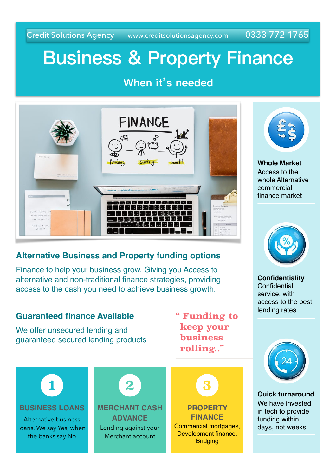Credit Solutions Agency [www.creditsolutionsagency.com](http://www.creditsolutionsagency.com) 0333 772 1765

# **Business & Property Finance**

### **When it's needed**



### **Alternative Business and Property funding options**

Finance to help your business grow. Giving you Access to alternative and non-traditional finance strategies, providing access to the cash you need to achieve business growth.





**Whole Market** Access to the whole Alternative commercial finance market



**Confidentiality Confidential** service, with access to the best lending rates.



**Quick turnaround** We have invested in tech to provide funding within days, not weeks.